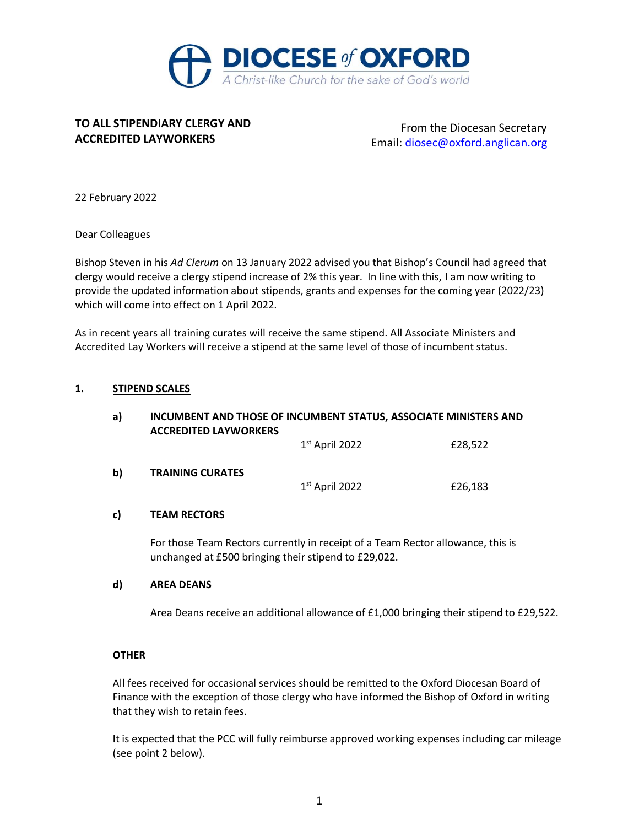

# **TO ALL STIPENDIARY CLERGY AND ACCREDITED LAYWORKERS**

From the Diocesan Secretary Email: [diosec@oxford.anglican.org](mailto:diosec@oxford.anglican.org)

22 February 2022

Dear Colleagues

Bishop Steven in his *Ad Clerum* on 13 January 2022 advised you that Bishop's Council had agreed that clergy would receive a clergy stipend increase of 2% this year. In line with this, I am now writing to provide the updated information about stipends, grants and expenses for the coming year (2022/23) which will come into effect on 1 April 2022.

As in recent years all training curates will receive the same stipend. All Associate Ministers and Accredited Lay Workers will receive a stipend at the same level of those of incumbent status.

## **1. STIPEND SCALES**

| a) | INCUMBENT AND THOSE OF INCUMBENT STATUS, ASSOCIATE MINISTERS AND<br><b>ACCREDITED LAYWORKERS</b> |                  |         |  |
|----|--------------------------------------------------------------------------------------------------|------------------|---------|--|
|    |                                                                                                  | $1st$ April 2022 | £28,522 |  |
| b) | <b>TRAINING CURATES</b>                                                                          | $1st$ April 2022 | £26,183 |  |
| c) | <b>TEAM RECTORS</b>                                                                              |                  |         |  |

For those Team Rectors currently in receipt of a Team Rector allowance, this is unchanged at £500 bringing their stipend to £29,022.

## **d) AREA DEANS**

Area Deans receive an additional allowance of £1,000 bringing their stipend to £29,522.

## **OTHER**

All fees received for occasional services should be remitted to the Oxford Diocesan Board of Finance with the exception of those clergy who have informed the Bishop of Oxford in writing that they wish to retain fees.

It is expected that the PCC will fully reimburse approved working expenses including car mileage (see point 2 below).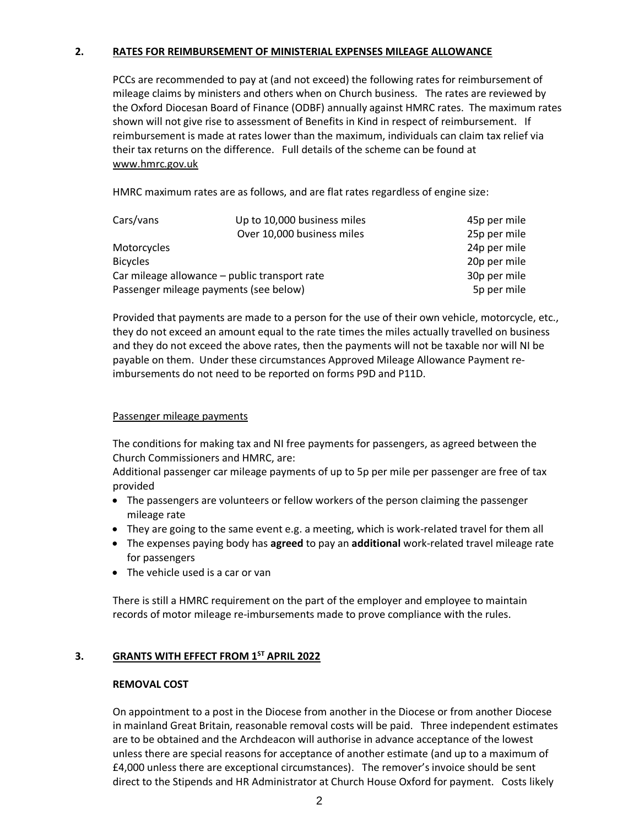## **2. RATES FOR REIMBURSEMENT OF MINISTERIAL EXPENSES MILEAGE ALLOWANCE**

PCCs are recommended to pay at (and not exceed) the following rates for reimbursement of mileage claims by ministers and others when on Church business. The rates are reviewed by the Oxford Diocesan Board of Finance (ODBF) annually against HMRC rates. The maximum rates shown will not give rise to assessment of Benefits in Kind in respect of reimbursement. If reimbursement is made at rates lower than the maximum, individuals can claim tax relief via their tax returns on the difference. Full details of the scheme can be found at [www.hmrc.gov.uk](http://www.hmrc.gov.uk/)

HMRC maximum rates are as follows, and are flat rates regardless of engine size:

| Cars/vans                                     | Up to 10,000 business miles | 45p per mile |
|-----------------------------------------------|-----------------------------|--------------|
|                                               | Over 10,000 business miles  | 25p per mile |
| Motorcycles                                   |                             | 24p per mile |
| <b>Bicycles</b>                               |                             | 20p per mile |
| Car mileage allowance – public transport rate |                             | 30p per mile |
| Passenger mileage payments (see below)        | 5p per mile                 |              |

Provided that payments are made to a person for the use of their own vehicle, motorcycle, etc., they do not exceed an amount equal to the rate times the miles actually travelled on business and they do not exceed the above rates, then the payments will not be taxable nor will NI be payable on them. Under these circumstances Approved Mileage Allowance Payment reimbursements do not need to be reported on forms P9D and P11D.

## Passenger mileage payments

The conditions for making tax and NI free payments for passengers, as agreed between the Church Commissioners and HMRC, are:

Additional passenger car mileage payments of up to 5p per mile per passenger are free of tax provided

- The passengers are volunteers or fellow workers of the person claiming the passenger mileage rate
- They are going to the same event e.g. a meeting, which is work-related travel for them all
- The expenses paying body has **agreed** to pay an **additional** work-related travel mileage rate for passengers
- The vehicle used is a car or van

There is still a HMRC requirement on the part of the employer and employee to maintain records of motor mileage re-imbursements made to prove compliance with the rules.

## **3. GRANTS WITH EFFECT FROM 1ST APRIL 2022**

## **REMOVAL COST**

On appointment to a post in the Diocese from another in the Diocese or from another Diocese in mainland Great Britain, reasonable removal costs will be paid. Three independent estimates are to be obtained and the Archdeacon will authorise in advance acceptance of the lowest unless there are special reasons for acceptance of another estimate (and up to a maximum of £4,000 unless there are exceptional circumstances). The remover's invoice should be sent direct to the Stipends and HR Administrator at Church House Oxford for payment. Costs likely